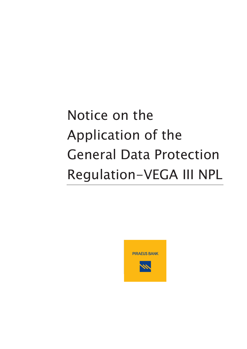# Notice on the Application of the General Data Protection Regulation-VEGA III NPL

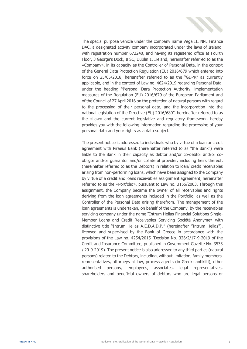

The special purpose vehicle under the company name Vega III NPL Finance DAC, a designated activity company incorporated under the laws of Ireland, with registration number 672240, and having its registered office at Fourth Floor, 3 George's Dock, IFSC, Dublin 1, Ireland, hereinafter referred to as the «Company», in its capacity as the Controller of Personal Data, in the context of the General Data Protection Regulation (EU) 2016/679 which entered into force on 25/05/2018, hereinafter referred to as the "GDPR" as currently applicable, and in the context of Law no. 4624/2019 regarding Personal Data, under the heading "Personal Dara Protection Authority, implementation measures of the Regulation (EU) 2016/679 of the European Parliament and of the Council of 27 April 2016 on the protection of natural persons with regard to the processing of their personal data, and the incorporation into the national legislation of the Directive (EU) 2016/680", hereinafter referred to as the «Law» and the current legislative and regulatory framework, hereby provides you with the following information regarding the processing of your personal data and your rights as a data subject.

The present notice is addressed to individuals who by virtue of a loan or credit agreement with Piraeus Bank (hereinafter referred to as "the Bank") were liable to the Bank in their capacity as debtor and/or co-debtor and/or coobligor and/or guarantor and/or collateral provider, including heirs thereof, (hereinafter referred to as the Debtors) in relation to loan/ credit receivables arising from non-performing loans, which have been assigned to the Company by virtue of a credit and loans receivables assignment agreement, hereinafter referred to as the «Portfolio», pursuant to Law no. 3156/2003. Through this assignment, the Company became the owner of all receivables and rights deriving from the loan agreements included in the Portfolio, as well as the Controller of the Personal Data arising therefrom. The management of the loan agreements is undertaken, on behalf of the Company, by the receivables servicing company under the name "Intrum Hellas Financial Solutions Single-Member Loans and Credit Receivables Servicing Société Anonyme» with distinctive title "Intrum Hellas A.E.D.A.D.P." (hereinafter "Intrum Hellas"), licensed and supervised by the Bank of Greece in accordance with the provisions of the Law no. 4254/2015 (Decision No. 326/2/17-9-2019 of the Credit and Insurance Committee, published in Government Gazette No. 3533 / 20-9-2019). The present notice is also addressed to any third parties (natural persons) related to the Debtors, including, without limitation, family members, representatives, attorneys at law, process agents (in Greek: antikliti), other authorised persons, employees, associates, legal representatives, shareholders and beneficial owners of debtors who are legal persons or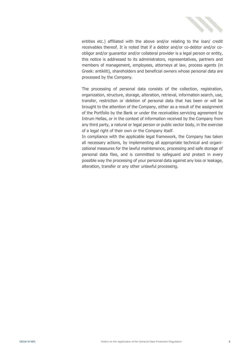

entities etc.) affiliated with the above and/or relating to the loan/ credit receivables thereof. It is noted that if a debtor and/or co-debtor and/or coobligor and/or guarantor and/or collateral provider is a legal person or entity, this notice is addressed to its administrators, representatives, partners and members of management, employees, attorneys at law, process agents (in Greek: antikliti), shareholders and beneficial owners whose personal data are processed by the Company.

The processing of personal data consists of the collection, registration, organization, structure, storage, alteration, retrieval, information search, use, transfer, restriction or deletion of personal data that has been or will be brought to the attention of the Company, either as a result of the assignment of the Portfolio by the Bank or under the receivables servicing agreement by Intrum Hellas, or in the context of information received by the Company from any third party, a natural or legal person or public sector body, in the exercise of a legal right of their own or the Company itself.

In compliance with the applicable legal framework, the Company has taken all necessary actions, by implementing all appropriate technical and organizational measures for the lawful maintenance, processing and safe storage of personal data files, and is committed to safeguard and protect in every possible way the processing of your personal data against any loss or leakage, alteration, transfer or any other unlawful processing.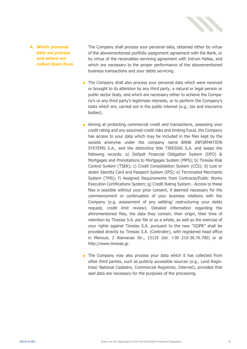

#### **A. Which personal data we process and where we collect them from**

The Company shall process your personal data, obtained either by virtue of the abovementioned portfolio assignment agreement with the Bank, or by virtue of the receivables servicing agreement with Intrum Hellas, and which are necessary to the proper performance of the abovementioned business transactions and your debts servicing.

- The Company shall also process your personal data which were received or brought to its attention by any third party, a natural or legal person or public sector body, and which are necessary either to achieve the Company's or any third party's legitimate interests, or to perform the Company's tasks which are, carried out in the public interest (e.g., tax and insurance bodies).
- Aiming at protecting commercial credit and transactions, assessing your credit rating and any assumed credit risks and limiting fraud, the Company has access to your data which may be included in the files kept by the societe anonyme under the company name BANK INFORMATION SYSTEMS S.A., and the distinctive title TIRESIAS S.A. and keeps the following records: a) Default Financial Obligation System (DFO) & Mortgages and Prenotations to Mortgages System (MPS); b) Tiresias Risk Control System (TSEK); c) Credit Consolidation System (CCS); d) Lost or stolen Identity Card and Passport System (IPS); e) Terminated Merchants System (TMS); f) Assigned Requirements from Contracts/Public Works Execution Certifications System; g) Credit Rating System.. Access to these files is possible without your prior consent, if deemed necessary for the commencement or continuation of your business relations with the Company (e.g. assessment of any settling/ restructuring your debts request, credit limit review). Detailed information regarding the aforementioned files, the data they contain, their origin, their time of retention by Tiresias S.A. per file or as a whole, as well as the exercise of your rights against Tiresias S.A. pursuant to the new "GDPR" shall be provided directly by Tiresias S.A. (Controller), with registered head office in Marousi, 2 Alamanas Str., 15125 (tel. +30 210-36.76.700) or at [http://www.tiresias.gr.](http://www.tiresias.gr/)
- The Company may also process your data which it has collected from other third parties, such as publicly accessible sources (e.g., Land Registries/ National Cadastre, Commercial Registries, Internet), provided that said data are necessary for the purposes of the processing.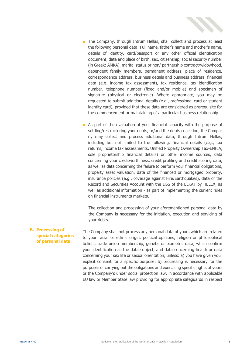

- The Company, through Intrum Hellas, shall collect and process at least the following personal data: Full name, father's name and mother's name, details of identity, card/passport or any other official identification document, date and place of birth, sex, citizenship, social security number (in Greek: AMKA), marital status or non/ partnership contract/widowhood, dependent family members, permanent address, place of residence, correspondence address, business details and business address, financial data (e.g. income tax assessment), tax residence, tax identification number, telephone number (fixed and/or mobile) and specimen of signature (physical or electronic). Where appropriate, you may be requested to submit additional details (e.g., professional card or student identity card), provided that these data are considered as prerequisite for the commencement or maintaining of a particular business relationship.
- As part of the evaluation of your financial capacity with the purpose of settling/restructuring your debts, or/and the debts collection, the Company may collect and process additional data, through Intrum Hellas, including but not limited to the following: financial details (e.g., tax returns, income tax assessments, Unified Property Ownership Tax-ENFIA, sole proprietorship financial details) or other income sources, data concerning your creditworthiness, credit profiling and credit scoring data, as well as data concerning the failure to perform your financial obligations, property asset valuation, data of the financed or mortgaged property, insurance policies (e.g., coverage against Fire/Earthquakes), data of the Record and Securities Account with the DSS of the ELKAT by HELEX, as well as additional information - as part of implementing the current rules on financial instruments markets.

The collection and processing of your aforementioned personal data by the Company is necessary for the initiation, execution and servicing of your debts.

**B. Processing of special categories of personal data** The Company shall not process any personal data of yours which are related to your racial or ethnic origin, political opinions, religion or philosophical beliefs, trade union membership, genetic or biometric data, which confirm your identification as the data subject, and data concerning health or data concerning your sex life or sexual orientation, unless: a) you have given your explicit consent for a specific purpose; b) processing is necessary for the purposes of carrying out the obligations and exercising specific rights of yours or the Company's under social protection law, in accordance with applicable EU law or Member State law providing for appropriate safeguards in respect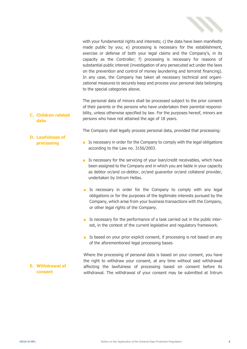

with your fundamental rights and interests; c) the data have been manifestly made public by you; e) processing is necessary for the establishment, exercise or defense of both your legal claims and the Company's, in its capacity as the Controller; f) processing is necessary for reasons of substantial public interest (investigation of any persecuted act under the laws on the prevention and control of money laundering and terrorist financing). In any case, the Company has taken all necessary technical and organizational measures to securely keep and process your personal data belonging to the special categories above.

**C. Children related data** The personal data of minors shall be processed subject to the prior consent of their parents or the persons who have undertaken their parental responsibility, unless otherwise specified by law. For the purposes hereof, minors are persons who have not attained the age of 18 years.

The Company shall legally process personal data, provided that processing:

- Is necessary in order for the Company to comply with the legal obligations according to the Law no. 3156/2003.
- Is necessary for the servicing of your loan/credit receivables, which have been assigned to the Company and in which you are liable in your capacity as debtor or/and co-debtor, or/and guarantor or/and collateral provider, undertaken by Intrum Hellas.
- Is necessary in order for the Company to comply with any legal obligations or for the purposes of the legitimate interests pursued by the Company, which arise from your business transactions with the Company, or other legal rights of the Company.
- Is necessary for the performance of a task carried out in the public interest, in the context of the current legislative and regulatory framework.
- Is based on your prior explicit consent, if processing is not based on any of the aforementioned legal processing bases.

Where the processing of personal data is based on your consent, you have the right to withdraw your consent, at any time without said withdrawal affecting the lawfulness of processing based on consent before its withdrawal. The withdrawal of your consent may be submitted at Intrum

**D. Lawfulness of** 

**E. Withdrawal of consent**

**processing**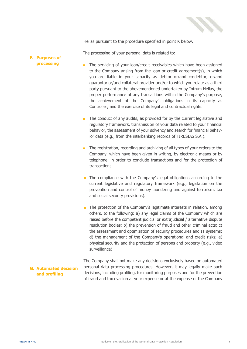

Hellas pursuant to the procedure specified in point K below.

The processing of your personal data is related to:

#### **F. Purposes of processing**

- The servicing of your loan/credit receivables which have been assigned to the Company arising from the loan or credit agreement(s), in which you are liable in your capacity as debtor or/and co-debtor, or/and guarantor or/and collateral provider and/or to which you relate as a third party pursuant to the abovementioned undertaken by Intrum Hellas, the proper performance of any transactions within the Company's purpose, the achievement of the Company's obligations in its capacity as Controller, and the exercise of its legal and contractual rights.
- The conduct of any audits, as provided for by the current legislative and regulatory framework, transmission of your data related to your financial behavior, the assessment of your solvency and search for financial behavior data (e.g., from the interbanking records of TIRESIAS S.A.).
- The registration, recording and archiving of all types of your orders to the Company, which have been given in writing, by electronic means or by telephone, in order to conclude transactions and for the protection of transactions.
- The compliance with the Company's legal obligations according to the current legislative and regulatory framework (e.g., legislation on the prevention and control of money laundering and against terrorism, tax and social security provisions).
- The protection of the Company's legitimate interests in relation, among others, to the following: a) any legal claims of the Company which are raised before the competent judicial or extrajudicial / alternative dispute resolution bodies; b) the prevention of fraud and other criminal acts; c) the assessment and optimization of security procedures and IT systems; d) the management of the Company's operational and credit risks; e) physical security and the protection of persons and property (e.g., video surveillance)

### **G. Automated decision and profiling**

The Company shall not make any decisions exclusively based on automated personal data processing procedures. However, it may legally make such decisions, including profiling, for monitoring purposes and for the prevention of fraud and tax evasion at your expense or at the expense of the Company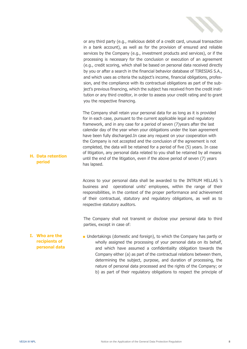

or any third party (e.g., malicious debit of a credit card, unusual transaction in a bank account), as well as for the provision of ensured and reliable services by the Company (e.g., investment products and services), or if the processing is necessary for the conclusion or execution of an agreement (e.g., credit scoring, which shall be based on personal data received directly by you or after a search in the financial behavior database of TIRESIAS S.A., and which uses as criteria the subject's income, financial obligations, profession, and the compliance with its contractual obligations as part of the subject's previous financing, which the subject has received from the credit institution or any third creditor, in order to assess your credit rating and to grant you the respective financing.

The Company shall retain your personal data for as long as it is provided for in each case, pursuant to the current applicable legal and regulatory framework, and in any case for a period of seven (7)years after the last calendar day of the year when your obligations under the loan agreement have been fully discharged.In case any request on your cooperation with the Company is not accepted and the conclusion of the agreement is not completed, the data will be retained for a period of five (5) years. In case of litigation, any personal data related to you shall be retained by all means until the end of the litigation, even if the above period of seven (7) years has lapsed.

Access to your personal data shall be awarded to the INTRUM HELLAS 's business and operational units' employees, within the range of their responsibilities, in the context of the proper performance and achievement of their contractual, statutory and regulatory obligations, as well as to respective statutory auditors.

The Company shall not transmit or disclose your personal data to third parties, except in case of:

**I. Who are the recipients of personal data** ■ Undertakings (domestic and foreign), to which the Company has partly or wholly assigned the processing of your personal data on its behalf, and which have assumed a confidentiality obligation towards the Company either (a) as part of the contractual relations between them, determining the subject, purpose, and duration of processing, the nature of personal data processed and the rights of the Company; or b) as part of their regulatory obligations to respect the principle of

**H. Data retention period**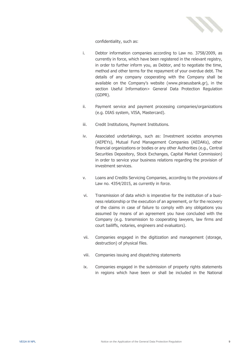

confidentiality, such as:

- i. Debtor information companies according to Law no. 3758/2009, as currently in force, which have been registered in the relevant registry, in order to further inform you, as Debtor, and to negotiate the time, method and other terms for the repayment of your overdue debt. The details of any company cooperating with the Company shall be available on the Company's website ([www.piraeusbank.gr\)](http://www.piraeusbank.gr/), in the section Useful Information> General Data Protection Regulation (GDPR).
- ii. Payment service and payment processing companies/organizations (e.g. DIAS system, VISA, Mastercard).
- iii. Credit Institutions, Payment Institutions.
- iv. Associated undertakings, such as: Investment societes anonymes (AEPEYs), Mutual Fund Management Companies (AEDAKs), other financial organizations or bodies or any other Authorities (e.g., Central Securities Depository, Stock Exchanges, Capital Market Commission) in order to service your business relations regarding the provision of investment services.
- v. Loans and Credits Servicing Companies, according to the provisions of Law no. 4354/2015, as currently in force.
- vi. Transmission of data which is imperative for the institution of a business relationship or the execution of an agreement, or for the recovery of the claims in case of failure to comply with any obligations you assumed by means of an agreement you have concluded with the Company (e.g. transmission to cooperating lawyers, law firms and court bailiffs, notaries, engineers and evaluators).
- vii. Companies engaged in the digitization and management (storage, destruction) of physical files.
- viii. Companies issuing and dispatching statements
- ix. Companies engaged in the submission of property rights statements in regions which have been or shall be included in the National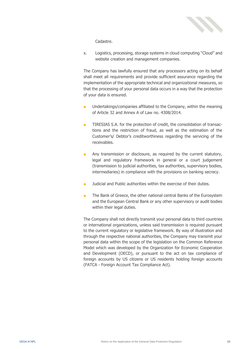

Cadastre.

x. Logistics, processing, storage systems in cloud computing "Cloud" and website creation and management companies.

The Company has lawfully ensured that any processors acting on its behalf shall meet all requirements and provide sufficient assurance regarding the implementation of the appropriate technical and organizational measures, so that the processing of your personal data occurs in a way that the protection of your data is ensured.

- Undertakings/companies affiliated to the Company, within the meaning of Article 32 and Annex A of Law no. 4308/2014.
- TIRESIAS S.A. for the protection of credit, the consolidation of transactions and the restriction of fraud, as well as the estimation of the Customer's/ Debtor's creditworthiness regarding the servicing of the receivables.
- Any transmission or disclosure, as required by the current statutory, legal and regulatory framework in general or a court judgement (transmission to judicial authorities, tax authorities, supervisory bodies, intermediaries) in compliance with the provisions on banking secrecy.
- Judicial and Public authorities within the exercise of their duties.
- The Bank of Greece, the other national central Banks of the Eurosystem and the European Central Bank or any other supervisory or audit bodies within their legal duties.

The Company shall not directly transmit your personal data to third countries or international organizations, unless said transmission is required pursuant to the current regulatory or legislative framework. By way of illustration and through the respective national authorities, the Company may transmit your personal data within the scope of the legislation on the Common Reference Model which was developed by the Organization for Economic Cooperation and Development (OECD), or pursuant to the act on tax compliance of foreign accounts by US citizens or US residents holding foreign accounts (FATCA - Foreign Account Tax Compliance Act).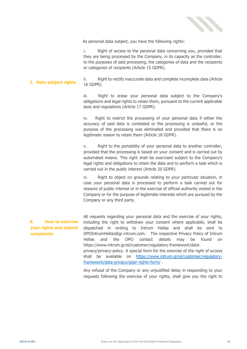

As personal data subject, you have the following rights:

i. Right of access to the personal data concerning you, provided that they are being processed by the Company, in its capacity as the controller, to the purposes of said processing, the categories of data and the recipients or categories of recipients (Article 15 GDPR).

**J. Data subject rights** ii. Right to rectify inaccurate data and complete incomplete data (Article 16 GDPR).

> iii. Right to erase your personal data subject to the Company's obligations and legal rights to retain them, pursuant to the current applicable laws and regulations (Article 17 GDPR).

> iv. Right to restrict the processing of your personal data if either the accuracy of said data is contested or the processing is unlawful, or the purpose of the processing was eliminated and provided that there is no legitimate reason to retain them (Article 18 GDPR).

> v. Right to the portability of your personal data to another controller, provided that the processing is based on your consent and is carried out by automated means. This right shall be exercised subject to the Company's legal rights and obligations to retain the data and to perform a task which is carried out in the public interest (Article 20 GDPR).

> vi. Right to object on grounds relating to your particular situation, in case your personal data is processed to perform a task carried out for reasons of public interest or in the exercise of official authority vested in the Company or for the purpose of legitimate interests which are pursued by the Company or any third party.

## **K. How to exercise your rights and submit complaints**

All requests regarding your personal data and the exercise of your rights, including the right to withdraw your consent where applicable, shall be dispatched in writing to Intrum Hellas and shall be sent to DPOIntrumHellas@gr.intrum.com. The respective Privacy Policy of Intrum Hellas and the DPO contact details may be found on https://www.intrum.gr/el/customer/regulatory-framework/dataprivacy/privacy-policy. A special form for the exercise of the right of access shall be available on [https://www.intrum.gr/el/customer/regulatory](https://www.intrum.gr/el/customer/regulatory-framework/data-privacy/gdpr-rights-form/)[framework/data-privacy/gdpr-rights-form/](https://www.intrum.gr/el/customer/regulatory-framework/data-privacy/gdpr-rights-form/) .

Any refusal of the Company or any unjustified delay in responding to your requests following the exercise of your rights, shall give you the right to